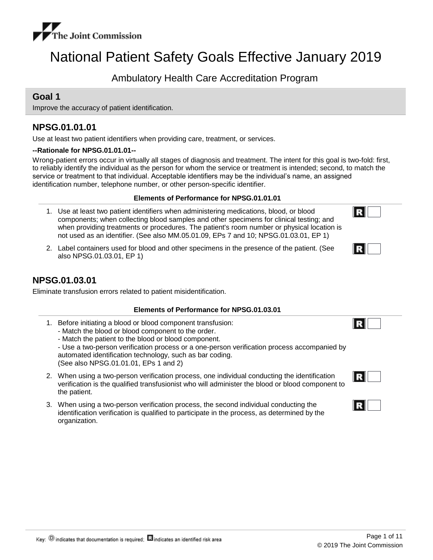# National Patient Safety Goals Effective January 2019

Ambulatory Health Care Accreditation Program

# **Goal 1**

Improve the accuracy of patient identification.

The Joint Commission

# **NPSG.01.01.01**

Use at least two patient identifiers when providing care, treatment, or services.

## **--Rationale for NPSG.01.01.01--**

Wrong-patient errors occur in virtually all stages of diagnosis and treatment. The intent for this goal is two-fold: first, to reliably identify the individual as the person for whom the service or treatment is intended; second, to match the service or treatment to that individual. Acceptable identifiers may be the individual's name, an assigned identification number, telephone number, or other person-specific identifier.

## **Elements of Performance for NPSG.01.01.01**

- Use at least two patient identifiers when administering medications, blood, or blood 1. components; when collecting blood samples and other specimens for clinical testing; and when providing treatments or procedures. The patient's room number or physical location is not used as an identifier. (See also MM.05.01.09, EPs 7 and 10; NPSG.01.03.01, EP 1)
- 2. Label containers used for blood and other specimens in the presence of the patient. (See also NPSG.01.03.01, EP 1)

# **NPSG.01.03.01**

Eliminate transfusion errors related to patient misidentification.

## **Elements of Performance for NPSG.01.03.01**

- 1. Before initiating a blood or blood component transfusion:
	- Match the blood or blood component to the order.
	- Match the patient to the blood or blood component.

- Use a two-person verification process or a one-person verification process accompanied by automated identification technology, such as bar coding. (See also NPSG.01.01.01, EPs 1 and 2)

- When using a two-person verification process, one individual conducting the identification 2. verification is the qualified transfusionist who will administer the blood or blood component to the patient.
- When using a two-person verification process, the second individual conducting the 3. identification verification is qualified to participate in the process, as determined by the organization.









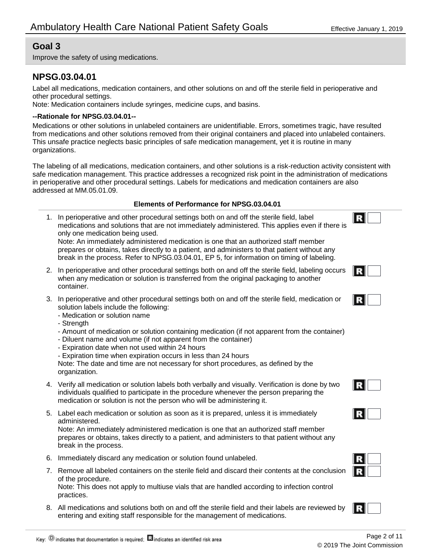## **Goal 3**

Improve the safety of using medications.

## **NPSG.03.04.01**

Label all medications, medication containers, and other solutions on and off the sterile field in perioperative and other procedural settings.

Note: Medication containers include syringes, medicine cups, and basins.

#### **--Rationale for NPSG.03.04.01--**

Medications or other solutions in unlabeled containers are unidentifiable. Errors, sometimes tragic, have resulted from medications and other solutions removed from their original containers and placed into unlabeled containers. This unsafe practice neglects basic principles of safe medication management, yet it is routine in many organizations.

The labeling of all medications, medication containers, and other solutions is a risk-reduction activity consistent with safe medication management. This practice addresses a recognized risk point in the administration of medications in perioperative and other procedural settings. Labels for medications and medication containers are also addressed at MM.05.01.09.

#### **Elements of Performance for NPSG.03.04.01**

In perioperative and other procedural settings both on and off the sterile field, label 1. medications and solutions that are not immediately administered. This applies even if there is only one medication being used. Note: An immediately administered medication is one that an authorized staff member prepares or obtains, takes directly to a patient, and administers to that patient without any

break in the process. Refer to NPSG.03.04.01, EP 5, for information on timing of labeling.

- 2. In perioperative and other procedural settings both on and off the sterile field, labeling occurs when any medication or solution is transferred from the original packaging to another container.
- In perioperative and other procedural settings both on and off the sterile field, medication or 3. solution labels include the following:
	- Medication or solution name
	- Strength
	- Amount of medication or solution containing medication (if not apparent from the container)
	- Diluent name and volume (if not apparent from the container)
	- Expiration date when not used within 24 hours
	- Expiration time when expiration occurs in less than 24 hours

Note: The date and time are not necessary for short procedures, as defined by the organization.

- 4. Verify all medication or solution labels both verbally and visually. Verification is done by two individuals qualified to participate in the procedure whenever the person preparing the medication or solution is not the person who will be administering it.
- 5. Label each medication or solution as soon as it is prepared, unless it is immediately administered.

Note: An immediately administered medication is one that an authorized staff member prepares or obtains, takes directly to a patient, and administers to that patient without any break in the process.

- 6. Immediately discard any medication or solution found unlabeled.
- 7. Remove all labeled containers on the sterile field and discard their contents at the conclusion of the procedure. Note: This does not apply to multiuse vials that are handled according to infection control

practices.

All medications and solutions both on and off the sterile field and their labels are reviewed by 8. entering and exiting staff responsible for the management of medications.

IR





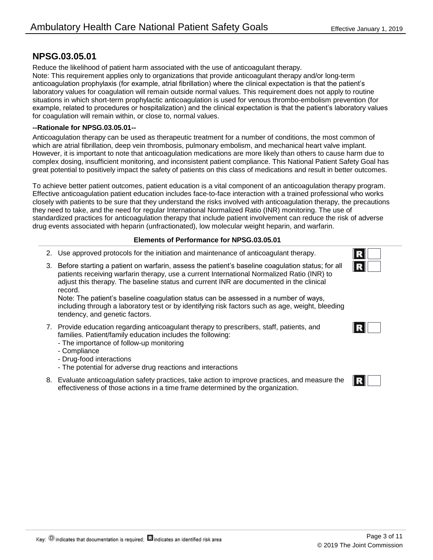## **NPSG.03.05.01**

Reduce the likelihood of patient harm associated with the use of anticoagulant therapy. Note: This requirement applies only to organizations that provide anticoagulant therapy and/or long-term anticoagulation prophylaxis (for example, atrial fibrillation) where the clinical expectation is that the patient's laboratory values for coagulation will remain outside normal values. This requirement does not apply to routine situations in which short-term prophylactic anticoagulation is used for venous thrombo-embolism prevention (for example, related to procedures or hospitalization) and the clinical expectation is that the patient's laboratory values for coagulation will remain within, or close to, normal values.

## **--Rationale for NPSG.03.05.01--**

Anticoagulation therapy can be used as therapeutic treatment for a number of conditions, the most common of which are atrial fibrillation, deep vein thrombosis, pulmonary embolism, and mechanical heart valve implant. However, it is important to note that anticoagulation medications are more likely than others to cause harm due to complex dosing, insufficient monitoring, and inconsistent patient compliance. This National Patient Safety Goal has great potential to positively impact the safety of patients on this class of medications and result in better outcomes.

To achieve better patient outcomes, patient education is a vital component of an anticoagulation therapy program. Effective anticoagulation patient education includes face-to-face interaction with a trained professional who works closely with patients to be sure that they understand the risks involved with anticoagulation therapy, the precautions they need to take, and the need for regular International Normalized Ratio (INR) monitoring. The use of standardized practices for anticoagulation therapy that include patient involvement can reduce the risk of adverse drug events associated with heparin (unfractionated), low molecular weight heparin, and warfarin.

## **Elements of Performance for NPSG.03.05.01**

- 2. Use approved protocols for the initiation and maintenance of anticoagulant therapy.
- 3. Before starting a patient on warfarin, assess the patient's baseline coagulation status; for all patients receiving warfarin therapy, use a current International Normalized Ratio (INR) to adjust this therapy. The baseline status and current INR are documented in the clinical record. Note: The patient's baseline coagulation status can be assessed in a number of ways,

including through a laboratory test or by identifying risk factors such as age, weight, bleeding tendency, and genetic factors.

- 7. Provide education regarding anticoagulant therapy to prescribers, staff, patients, and families. Patient/family education includes the following:
	- The importance of follow-up monitoring
	- Compliance
	- Drug-food interactions
	- The potential for adverse drug reactions and interactions
- Evaluate anticoagulation safety practices, take action to improve practices, and measure the 8. effectiveness of those actions in a time frame determined by the organization.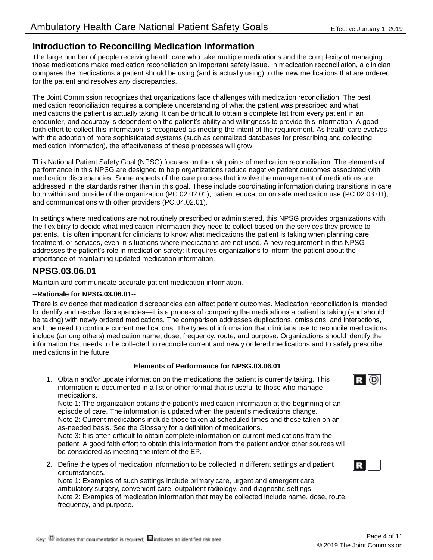# **Introduction to Reconciling Medication Information**

The large number of people receiving health care who take multiple medications and the complexity of managing those medications make medication reconciliation an important safety issue. In medication reconciliation, a clinician compares the medications a patient should be using (and is actually using) to the new medications that are ordered for the patient and resolves any discrepancies.

The Joint Commission recognizes that organizations face challenges with medication reconciliation. The best medication reconciliation requires a complete understanding of what the patient was prescribed and what medications the patient is actually taking. It can be difficult to obtain a complete list from every patient in an encounter, and accuracy is dependent on the patient's ability and willingness to provide this information. A good faith effort to collect this information is recognized as meeting the intent of the requirement. As health care evolves with the adoption of more sophisticated systems (such as centralized databases for prescribing and collecting medication information), the effectiveness of these processes will grow.

This National Patient Safety Goal (NPSG) focuses on the risk points of medication reconciliation. The elements of performance in this NPSG are designed to help organizations reduce negative patient outcomes associated with medication discrepancies. Some aspects of the care process that involve the management of medications are addressed in the standards rather than in this goal. These include coordinating information during transitions in care both within and outside of the organization (PC.02.02.01), patient education on safe medication use (PC.02.03.01), and communications with other providers (PC.04.02.01).

In settings where medications are not routinely prescribed or administered, this NPSG provides organizations with the flexibility to decide what medication information they need to collect based on the services they provide to patients. It is often important for clinicians to know what medications the patient is taking when planning care, treatment, or services, even in situations where medications are not used. A new requirement in this NPSG addresses the patient's role in medication safety: it requires organizations to inform the patient about the importance of maintaining updated medication information.

## **NPSG.03.06.01**

Maintain and communicate accurate patient medication information.

## **--Rationale for NPSG.03.06.01--**

There is evidence that medication discrepancies can affect patient outcomes. Medication reconciliation is intended to identify and resolve discrepancies—it is a process of comparing the medications a patient is taking (and should be taking) with newly ordered medications. The comparison addresses duplications, omissions, and interactions, and the need to continue current medications. The types of information that clinicians use to reconcile medications include (among others) medication name, dose, frequency, route, and purpose. Organizations should identify the information that needs to be collected to reconcile current and newly ordered medications and to safely prescribe medications in the future.

## **Elements of Performance for NPSG.03.06.01**

Obtain and/or update information on the medications the patient is currently taking. This 1. information is documented in a list or other format that is useful to those who manage medications.

Note 1: The organization obtains the patient's medication information at the beginning of an episode of care. The information is updated when the patient's medications change. Note 2: Current medications include those taken at scheduled times and those taken on an as-needed basis. See the Glossary for a definition of medications.

Note 3: It is often difficult to obtain complete information on current medications from the patient. A good faith effort to obtain this information from the patient and/or other sources will be considered as meeting the intent of the EP.

2. Define the types of medication information to be collected in different settings and patient circumstances.

Note 1: Examples of such settings include primary care, urgent and emergent care, ambulatory surgery, convenient care, outpatient radiology, and diagnostic settings. Note 2: Examples of medication information that may be collected include name, dose, route, frequency, and purpose.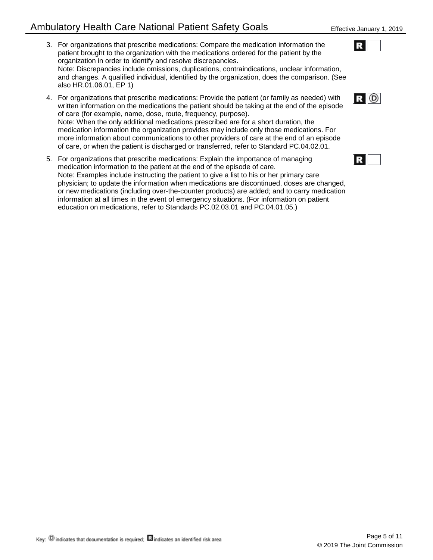- 3. For organizations that prescribe medications: Compare the medication information the patient brought to the organization with the medications ordered for the patient by the organization in order to identify and resolve discrepancies. Note: Discrepancies include omissions, duplications, contraindications, unclear information, and changes. A qualified individual, identified by the organization, does the comparison. (See also HR.01.06.01, EP 1)
- 4. For organizations that prescribe medications: Provide the patient (or family as needed) with written information on the medications the patient should be taking at the end of the episode of care (for example, name, dose, route, frequency, purpose). Note: When the only additional medications prescribed are for a short duration, the medication information the organization provides may include only those medications. For more information about communications to other providers of care at the end of an episode of care, or when the patient is discharged or transferred, refer to Standard PC.04.02.01.
- 5. For organizations that prescribe medications: Explain the importance of managing medication information to the patient at the end of the episode of care. Note: Examples include instructing the patient to give a list to his or her primary care physician; to update the information when medications are discontinued, doses are changed, or new medications (including over-the-counter products) are added; and to carry medication information at all times in the event of emergency situations. (For information on patient education on medications, refer to Standards PC.02.03.01 and PC.04.01.05.)

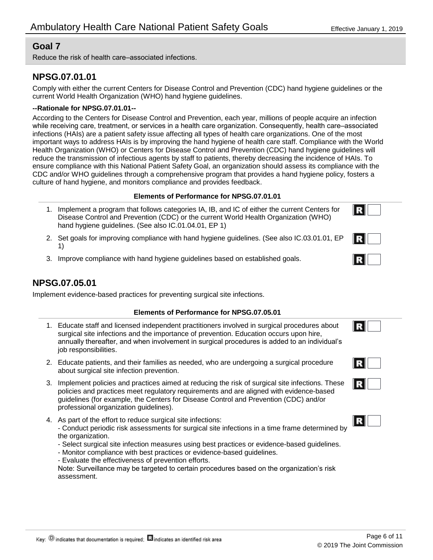## **Goal 7**

Reduce the risk of health care–associated infections.

# **NPSG.07.01.01**

Comply with either the current Centers for Disease Control and Prevention (CDC) hand hygiene guidelines or the current World Health Organization (WHO) hand hygiene guidelines.

#### **--Rationale for NPSG.07.01.01--**

According to the Centers for Disease Control and Prevention, each year, millions of people acquire an infection while receiving care, treatment, or services in a health care organization. Consequently, health care–associated infections (HAIs) are a patient safety issue affecting all types of health care organizations. One of the most important ways to address HAIs is by improving the hand hygiene of health care staff. Compliance with the World Health Organization (WHO) or Centers for Disease Control and Prevention (CDC) hand hygiene guidelines will reduce the transmission of infectious agents by staff to patients, thereby decreasing the incidence of HAIs. To ensure compliance with this National Patient Safety Goal, an organization should assess its compliance with the CDC and/or WHO guidelines through a comprehensive program that provides a hand hygiene policy, fosters a culture of hand hygiene, and monitors compliance and provides feedback.

#### **Elements of Performance for NPSG.07.01.01**

- 1. Implement a program that follows categories IA, IB, and IC of either the current Centers for Disease Control and Prevention (CDC) or the current World Health Organization (WHO) hand hygiene guidelines. (See also IC.01.04.01, EP 1)
- 2. Set goals for improving compliance with hand hygiene guidelines. (See also IC.03.01.01, EP 1)
- 3. Improve compliance with hand hygiene guidelines based on established goals.

## **NPSG.07.05.01**

Implement evidence-based practices for preventing surgical site infections.

#### **Elements of Performance for NPSG.07.05.01**

- Educate staff and licensed independent practitioners involved in surgical procedures about 1. surgical site infections and the importance of prevention. Education occurs upon hire, annually thereafter, and when involvement in surgical procedures is added to an individual's job responsibilities.
- 2. Educate patients, and their families as needed, who are undergoing a surgical procedure about surgical site infection prevention.
- 3. Implement policies and practices aimed at reducing the risk of surgical site infections. These policies and practices meet regulatory requirements and are aligned with evidence-based guidelines (for example, the Centers for Disease Control and Prevention (CDC) and/or professional organization guidelines).
- 4. As part of the effort to reduce surgical site infections:

- Conduct periodic risk assessments for surgical site infections in a time frame determined by the organization.

- Select surgical site infection measures using best practices or evidence-based guidelines.
- Monitor compliance with best practices or evidence-based guidelines.
- Evaluate the effectiveness of prevention efforts.

Note: Surveillance may be targeted to certain procedures based on the organization's risk assessment.

R

RI

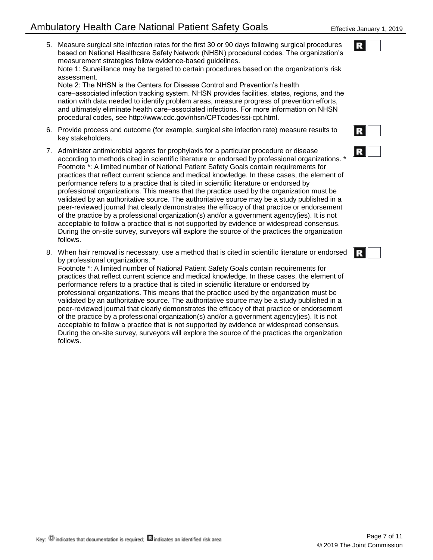R

Measure surgical site infection rates for the first 30 or 90 days following surgical procedures 5. based on National Healthcare Safety Network (NHSN) procedural codes. The organization's measurement strategies follow evidence-based guidelines. Note 1: Surveillance may be targeted to certain procedures based on the organization's risk assessment.

Note 2: The NHSN is the Centers for Disease Control and Prevention's health care–associated infection tracking system. NHSN provides facilities, states, regions, and the nation with data needed to identify problem areas, measure progress of prevention efforts, and ultimately eliminate health care–associated infections. For more information on NHSN procedural codes, see http://www.cdc.gov/nhsn/CPTcodes/ssi-cpt.html.

- 6. Provide process and outcome (for example, surgical site infection rate) measure results to key stakeholders.
- 7. Administer antimicrobial agents for prophylaxis for a particular procedure or disease according to methods cited in scientific literature or endorsed by professional organizations. ' Footnote \*: A limited number of National Patient Safety Goals contain requirements for practices that reflect current science and medical knowledge. In these cases, the element of performance refers to a practice that is cited in scientific literature or endorsed by professional organizations. This means that the practice used by the organization must be validated by an authoritative source. The authoritative source may be a study published in a peer-reviewed journal that clearly demonstrates the efficacy of that practice or endorsement of the practice by a professional organization(s) and/or a government agency(ies). It is not acceptable to follow a practice that is not supported by evidence or widespread consensus. During the on-site survey, surveyors will explore the source of the practices the organization follows.
- When hair removal is necessary, use a method that is cited in scientific literature or endorsed 8. by professional organizations.

Footnote \*: A limited number of National Patient Safety Goals contain requirements for practices that reflect current science and medical knowledge. In these cases, the element of performance refers to a practice that is cited in scientific literature or endorsed by professional organizations. This means that the practice used by the organization must be validated by an authoritative source. The authoritative source may be a study published in a peer-reviewed journal that clearly demonstrates the efficacy of that practice or endorsement of the practice by a professional organization(s) and/or a government agency(ies). It is not acceptable to follow a practice that is not supported by evidence or widespread consensus. During the on-site survey, surveyors will explore the source of the practices the organization follows.

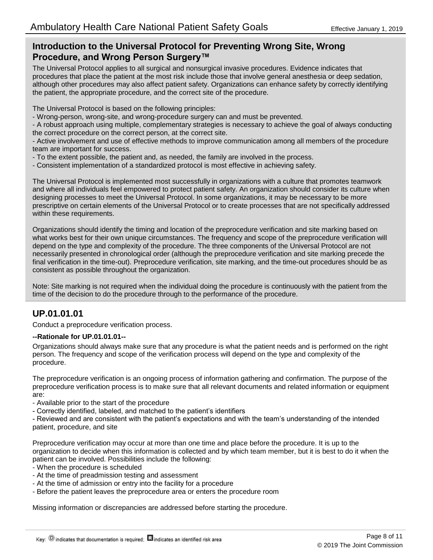## **Introduction to the Universal Protocol for Preventing Wrong Site, Wrong Procedure, and Wrong Person Surgery™**

The Universal Protocol applies to all surgical and nonsurgical invasive procedures. Evidence indicates that procedures that place the patient at the most risk include those that involve general anesthesia or deep sedation, although other procedures may also affect patient safety. Organizations can enhance safety by correctly identifying the patient, the appropriate procedure, and the correct site of the procedure.

The Universal Protocol is based on the following principles:

- Wrong-person, wrong-site, and wrong-procedure surgery can and must be prevented.

- A robust approach using multiple, complementary strategies is necessary to achieve the goal of always conducting the correct procedure on the correct person, at the correct site.

- Active involvement and use of effective methods to improve communication among all members of the procedure team are important for success.

- To the extent possible, the patient and, as needed, the family are involved in the process.
- Consistent implementation of a standardized protocol is most effective in achieving safety.

The Universal Protocol is implemented most successfully in organizations with a culture that promotes teamwork and where all individuals feel empowered to protect patient safety. An organization should consider its culture when designing processes to meet the Universal Protocol. In some organizations, it may be necessary to be more prescriptive on certain elements of the Universal Protocol or to create processes that are not specifically addressed within these requirements.

Organizations should identify the timing and location of the preprocedure verification and site marking based on what works best for their own unique circumstances. The frequency and scope of the preprocedure verification will depend on the type and complexity of the procedure. The three components of the Universal Protocol are not necessarily presented in chronological order (although the preprocedure verification and site marking precede the final verification in the time-out). Preprocedure verification, site marking, and the time-out procedures should be as consistent as possible throughout the organization.

Note: Site marking is not required when the individual doing the procedure is continuously with the patient from the time of the decision to do the procedure through to the performance of the procedure.

# **UP.01.01.01**

Conduct a preprocedure verification process.

## **--Rationale for UP.01.01.01--**

Organizations should always make sure that any procedure is what the patient needs and is performed on the right person. The frequency and scope of the verification process will depend on the type and complexity of the procedure.

The preprocedure verification is an ongoing process of information gathering and confirmation. The purpose of the preprocedure verification process is to make sure that all relevant documents and related information or equipment are:

- Available prior to the start of the procedure

- Correctly identified, labeled, and matched to the patient's identifiers

- Reviewed and are consistent with the patient's expectations and with the team's understanding of the intended patient, procedure, and site

Preprocedure verification may occur at more than one time and place before the procedure. It is up to the organization to decide when this information is collected and by which team member, but it is best to do it when the patient can be involved. Possibilities include the following:

- When the procedure is scheduled
- At the time of preadmission testing and assessment
- At the time of admission or entry into the facility for a procedure
- Before the patient leaves the preprocedure area or enters the procedure room

Missing information or discrepancies are addressed before starting the procedure.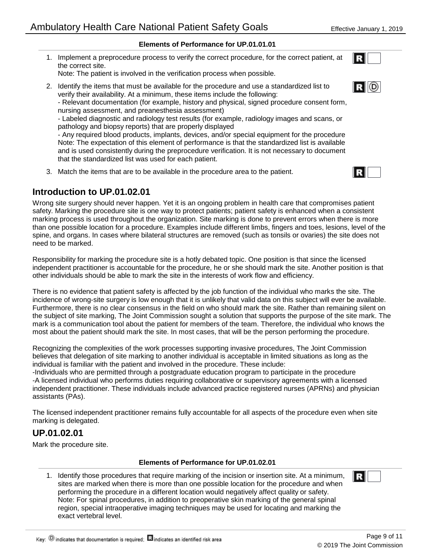## **Elements of Performance for UP.01.01.01**

1. Implement a preprocedure process to verify the correct procedure, for the correct patient, at the correct site.

Note: The patient is involved in the verification process when possible.

2. Identify the items that must be available for the procedure and use a standardized list to verify their availability. At a minimum, these items include the following:

- Relevant documentation (for example, history and physical, signed procedure consent form, nursing assessment, and preanesthesia assessment)

- Labeled diagnostic and radiology test results (for example, radiology images and scans, or pathology and biopsy reports) that are properly displayed

- Any required blood products, implants, devices, and/or special equipment for the procedure Note: The expectation of this element of performance is that the standardized list is available and is used consistently during the preprocedure verification. It is not necessary to document that the standardized list was used for each patient.

3. Match the items that are to be available in the procedure area to the patient.

## **Introduction to UP.01.02.01**

Wrong site surgery should never happen. Yet it is an ongoing problem in health care that compromises patient safety. Marking the procedure site is one way to protect patients; patient safety is enhanced when a consistent marking process is used throughout the organization. Site marking is done to prevent errors when there is more than one possible location for a procedure. Examples include different limbs, fingers and toes, lesions, level of the spine, and organs. In cases where bilateral structures are removed (such as tonsils or ovaries) the site does not need to be marked.

Responsibility for marking the procedure site is a hotly debated topic. One position is that since the licensed independent practitioner is accountable for the procedure, he or she should mark the site. Another position is that other individuals should be able to mark the site in the interests of work flow and efficiency.

There is no evidence that patient safety is affected by the job function of the individual who marks the site. The incidence of wrong-site surgery is low enough that it is unlikely that valid data on this subject will ever be available. Furthermore, there is no clear consensus in the field on who should mark the site. Rather than remaining silent on the subject of site marking, The Joint Commission sought a solution that supports the purpose of the site mark. The mark is a communication tool about the patient for members of the team. Therefore, the individual who knows the most about the patient should mark the site. In most cases, that will be the person performing the procedure.

Recognizing the complexities of the work processes supporting invasive procedures, The Joint Commission believes that delegation of site marking to another individual is acceptable in limited situations as long as the individual is familiar with the patient and involved in the procedure. These include:

-Individuals who are permitted through a postgraduate education program to participate in the procedure -A licensed individual who performs duties requiring collaborative or supervisory agreements with a licensed independent practitioner. These individuals include advanced practice registered nurses (APRNs) and physician assistants (PAs).

The licensed independent practitioner remains fully accountable for all aspects of the procedure even when site marking is delegated.

# **UP.01.02.01**

Mark the procedure site.

#### **Elements of Performance for UP.01.02.01**

1. Identify those procedures that require marking of the incision or insertion site. At a minimum, sites are marked when there is more than one possible location for the procedure and when performing the procedure in a different location would negatively affect quality or safety. Note: For spinal procedures, in addition to preoperative skin marking of the general spinal region, special intraoperative imaging techniques may be used for locating and marking the exact vertebral level.



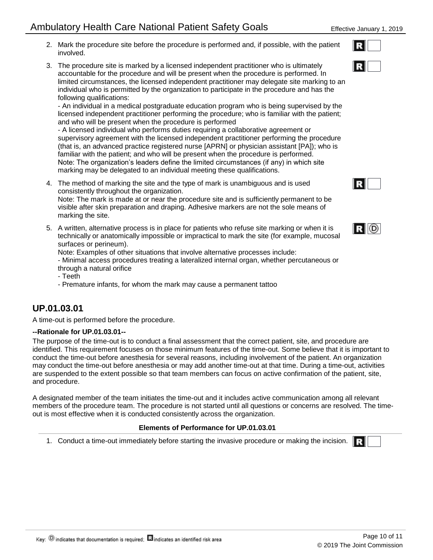- 2. Mark the procedure site before the procedure is performed and, if possible, with the patient involved.
- The procedure site is marked by a licensed independent practitioner who is ultimately 3. accountable for the procedure and will be present when the procedure is performed. In limited circumstances, the licensed independent practitioner may delegate site marking to an individual who is permitted by the organization to participate in the procedure and has the following qualifications:

- An individual in a medical postgraduate education program who is being supervised by the licensed independent practitioner performing the procedure; who is familiar with the patient; and who will be present when the procedure is performed

- A licensed individual who performs duties requiring a collaborative agreement or supervisory agreement with the licensed independent practitioner performing the procedure (that is, an advanced practice registered nurse [APRN] or physician assistant [PA]); who is familiar with the patient; and who will be present when the procedure is performed. Note: The organization's leaders define the limited circumstances (if any) in which site marking may be delegated to an individual meeting these qualifications.

The method of marking the site and the type of mark is unambiguous and is used 4. consistently throughout the organization. Note: The mark is made at or near the procedure site and is sufficiently permanent to be

visible after skin preparation and draping. Adhesive markers are not the sole means of marking the site.

5. A written, alternative process is in place for patients who refuse site marking or when it is technically or anatomically impossible or impractical to mark the site (for example, mucosal surfaces or perineum).

Note: Examples of other situations that involve alternative processes include:

- Minimal access procedures treating a lateralized internal organ, whether percutaneous or through a natural orifice

- Teeth

- Premature infants, for whom the mark may cause a permanent tattoo

# **UP.01.03.01**

A time-out is performed before the procedure.

## **--Rationale for UP.01.03.01--**

The purpose of the time-out is to conduct a final assessment that the correct patient, site, and procedure are identified. This requirement focuses on those minimum features of the time-out. Some believe that it is important to conduct the time-out before anesthesia for several reasons, including involvement of the patient. An organization may conduct the time-out before anesthesia or may add another time-out at that time. During a time-out, activities are suspended to the extent possible so that team members can focus on active confirmation of the patient, site, and procedure.

A designated member of the team initiates the time-out and it includes active communication among all relevant members of the procedure team. The procedure is not started until all questions or concerns are resolved. The timeout is most effective when it is conducted consistently across the organization.

## **Elements of Performance for UP.01.03.01**

1. Conduct a time-out immediately before starting the invasive procedure or making the incision.



|--|